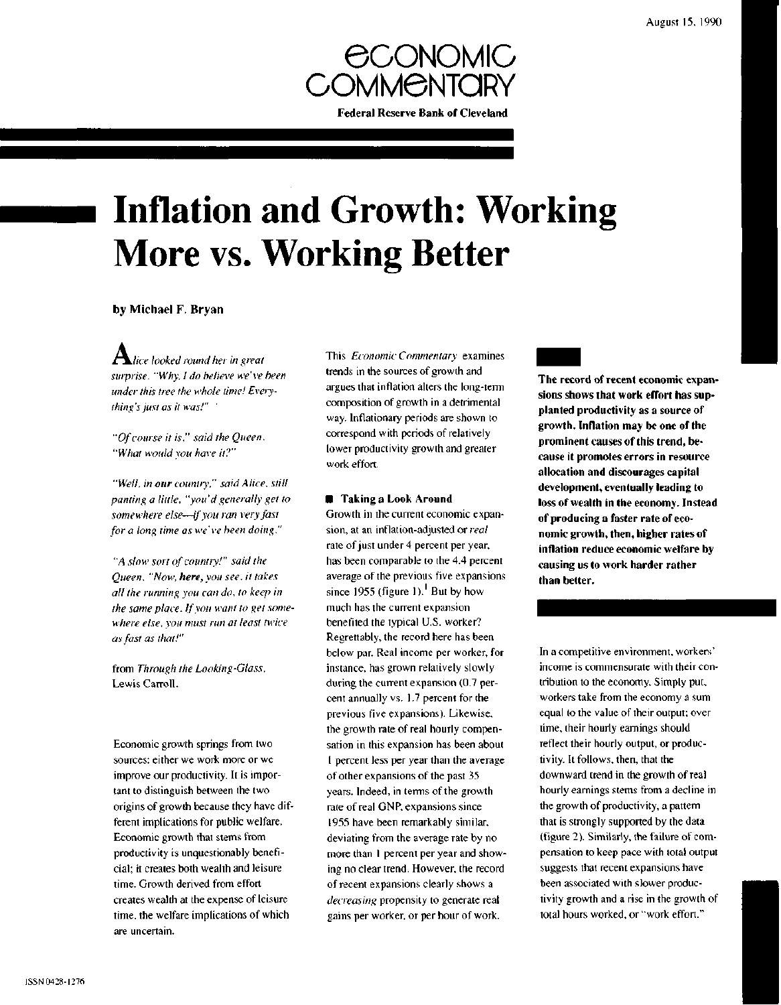

# **Inflation and Growth: Working More vs. Working Better**

# by Michael F. Bryan

 $\mathbf A$ *lice looked round her in great surprise. "Why, I do believe we've been under this tree the whole time! Everything's just as it was!"*

*"Of course it is," said the Queen. "What would you have it?"*

*"Well, in our country," said Alice, still panting a little, "you'd generally get to somewhere else*—*if you ran very fast for a long time as we' ve been doing."*

*"A slow sort of country!" said the Queen. "Now, here, you see, it takes all the running you can do, to keep in the same place. If you want to get somewhere else, you must run at least twice as fast as that!"*

from *Through the Looking-Glass,* Lewis Carroll.

Economic growth springs from two sources: either we work more or we improve our productivity. It is important to distinguish between the two origins of growth because they have different implications for public welfare. Economic growth that stems from productivity is unquestionably beneficial; it creates both wealth and leisure time. Growth derived from effort creates wealth at the expense of leisure time, the welfare implications of which are uncertain.

**This** *Economic Commentary* examines trends in the sources of growth and argues that inflation alters the long-term composition of growth in a detrimental way. Inflationary periods are shown to correspond with periods of relatively lower productivity growth and greater work effort.

### **• Taking a Look Around**

Growth in the current economic expansion, at an inflation-adjusted or *real* rate of just under 4 percent per year, has been comparable to the 4.4 percent average of the previous five expansions since 1955 (figure 1). But by how much has the current expansion benefited the typical U.S. worker? Regrettably, the record here has been below par. Real income per worker, for instance, has grown relatively slowly during the current expansion (0.7 percent annually vs. 1.7 percent for the previous five expansions). Likewise, the growth rate of real hourly compensation in this expansion has been about 1 percent less per year than the average of other expansions of the past 35 years. Indeed, in terms of the growth rate of real GNP, expansions since 1955 have been remarkably similar, deviating from the average rate by no more than 1 percent per year and showing no clear trend. However, the record of recent expansions clearly shows a *decreasing* propensity to generate real gains per worker, or per hour of work.

**The record of recent economic expansions shows that work effort has supplanted productivity as a source of growth. Inflation may be one of the prominent causes of this trend, because it promotes errors in resource allocation and discourages capital development, eventually leading to loss of wealth in the economy. Instead of producing a faster rate of economic growth, then, higher rates of inflation reduce economic welfare by causing us to work harder rather than better.**

In a competitive environment, workers' income is commensurate with their contribution to the economy. Simply put, workers take from the economy a sum equal to the value of their output; over time, their hourly earnings should reflect their hourly output, or productivity. It follows, then, that the downward trend in the growth of real hourly earnings stems from a decline in the growth of productivity, a pattern that is strongly supported by the data (figure 2). Similarly, the failure of compensation to keep pace with total output suggests that recent expansions have been associated with slower productivity growth and a rise in the growth of total hours worked, or "work effort."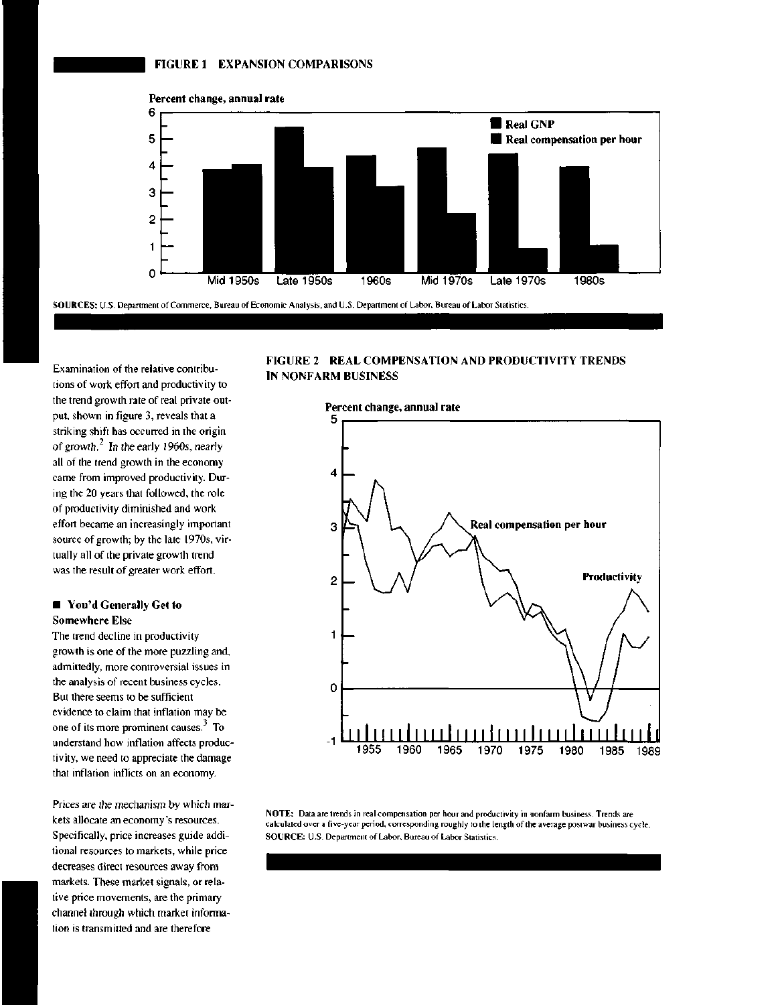



**SOURCES:** U.S. Department of Commerce, Bureau of Economic Analysis, and U.S. Department of Labor, Bureau of Labor Statistics.

Examination of the relative contributions of work effort and productivity to the trend growth rate of real private output, shown in figure 3, reveals that a striking shift has occurred in the origin of growth. $2 \text{ In the early 1960s, nearly}$ all of the trend growth in the economy came from improved productivity. During the 20 years that followed, the role of productivity diminished and work effort became an increasingly important source of growth; by the late 1970s, virtually all of the private growth trend was the result of greater work effort.

# **• You'd Generally Get to Somewhere Else**

The trend decline in productivity growth is one of the more puzzling and, admittedly, more controversial issues in the analysis of recent business cycles. But there seems to be sufficient evidence to claim that inflation may be one of its more prominent causes. $3$  To understand how inflation affects productivity, we need to appreciate the damage that inflation inflicts on an economy.

Prices are the mechanism by which markets allocate an economy's resources. Specifically, price increases guide additional resources to markets, while price decreases direct resources away from markets. These market signals, or relative price movements, are the primary channel through which market information is transmitted and are therefore

# **FIGURE 2 REAL COMPENSATION AND PRODUCTIVITY TRENDS IN NONFARM BUSINESS**



**NOTE:** Data are trends in real compensation per hour and productivity in nonfarm business. Trends are calculated over a five-year period, corresponding roughly to the length of the average postwar business cycle. **SOURCE:** U.S. Department of Labor, Bureau of Labor Statistics.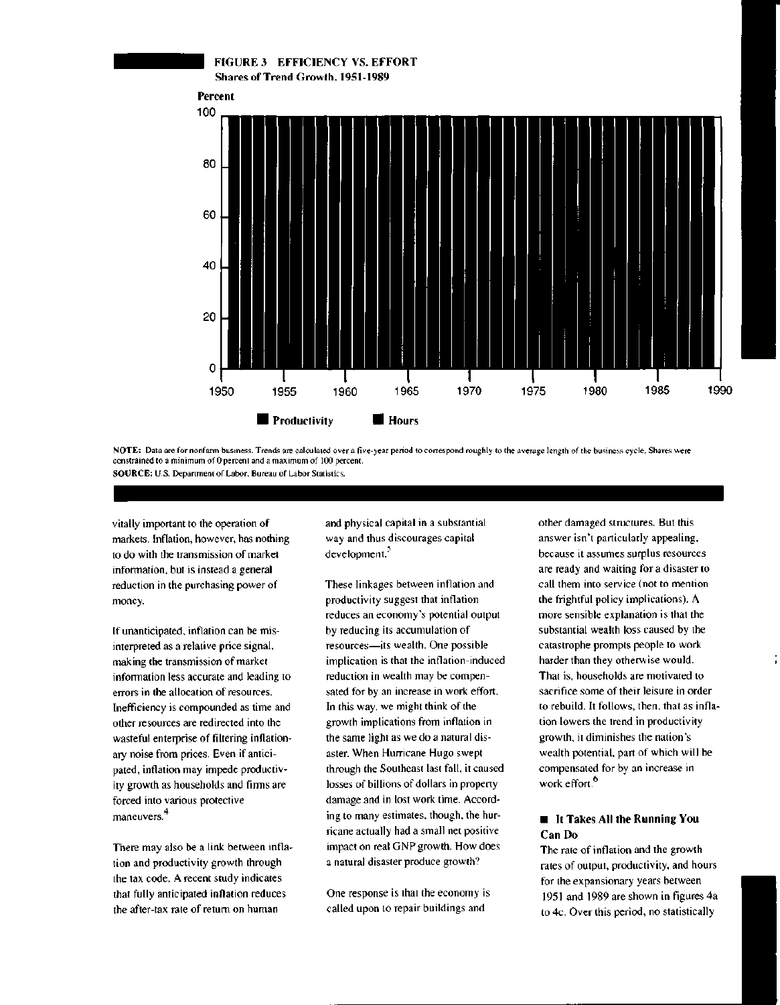

NOTE: Data are for nonfarm business. Trends are calculated over a five-year period to correspond roughly to the average length of the business cycle. Shares were constrained to a minimum of 0 percent and a maximum of 100 percent. SOURCE: U.S. Department of Labor, Bureau of Labor Statistics.

vitally important to the operation of markets. Inflation, however, has nothing to do with the transmission of market information, but is instead a general reduction in the purchasing power of money.

If unanticipated, inflation can be misinterpreted as a relative price signal, making the transmission of market information less accurate and leading to errors in the allocation of resources. Inefficiency is compounded as time and other resources are redirected into the wasteful enterprise of filtering inflationary noise from prices. Even if anticipated, inflation may impede productivity growth as households and firms are forced into various protective maneuvers.<sup>4</sup>

There may also be a link between inflation and productivity growth through the tax code. A recent study indicates that fully anticipated inflation reduces the after-tax rate of return on human

and physical capital in a substantial way and thus discourages capital development.<sup>5</sup>

These linkages between inflation and productivity suggest that inflation reduces an economy's potential output by reducing its accumulation of resources—its wealth. One possible implication is that the inflation-induced reduction in wealth may be compensated for by an increase in work effort. In this way, we might think of the growth implications from inflation in the same light as we do a natural disaster. When Hurricane Hugo swept through the Southeast last fall, it caused losses of billions of dollars in property damage and in lost work time. According to many estimates, though, the hurricane actually had a small net positive impact on real GNP growth. How does a natural disaster produce growth?

One response is that the economy is called upon to repair buildings and

other damaged structures. But this answer isn't particularly appealing, because it assumes surplus resources are ready and waiting for a disaster to call them into service (not to mention the frightful policy implications). A more sensible explanation is that the substantial wealth loss caused by the catastrophe prompts people to work harder than they otherwise would. That is, households are motivated to sacrifice some of their leisure in order to rebuild. It follows, then, that as inflation lowers the trend in productivity growth, it diminishes the nation's wealth potential, part of which will be compensated for by an increase in work effort.<sup>6</sup>

# **• It Takes All the Running You Can Do**

The rate of inflation and the growth rates of output, productivity, and hours for the expansionary years between 1951 and 1989 are shown in figures 4a to 4c. Over this period, no statistically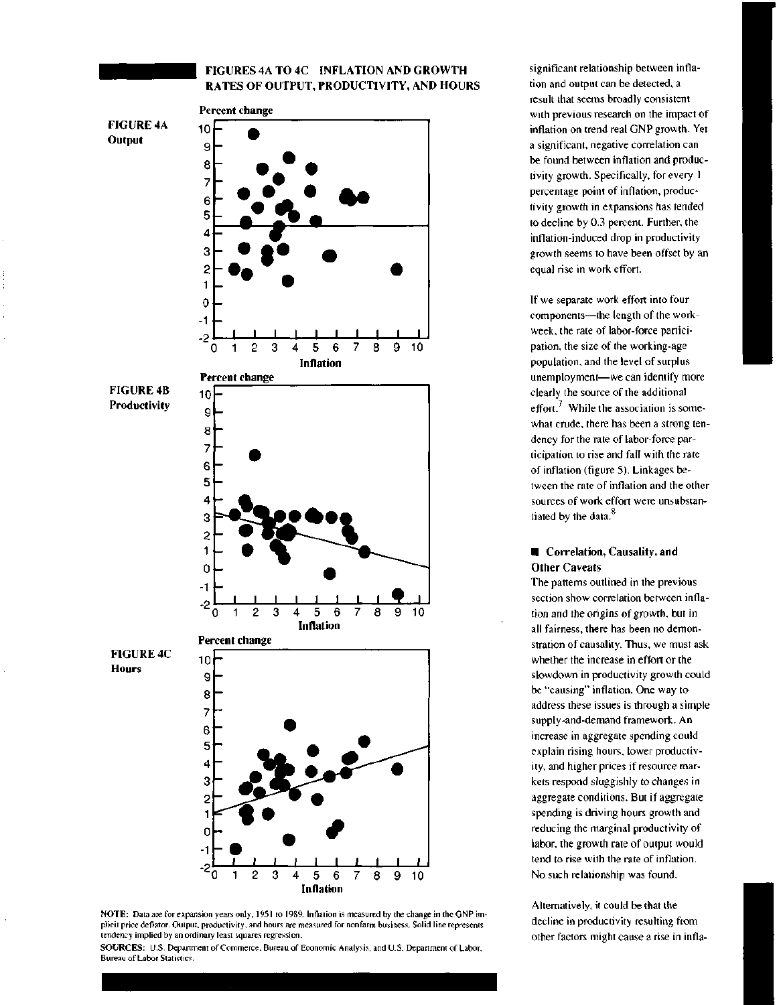# **FIGURES 4A TO 4C INFLATION AND GROWTH RATES OF OUTPUT, PRODUCTIVITY, AND HOURS**



**NOTE:** Data are for expansion years only, 1951 to 1989. Inflation is measured by the change in the GNP implicit price deflator. Output, productivity, and hours are measured for nonfarm business. Solid line represents tendency implied by an ordinary least squares regression.



significant relationship between inflation and output can be detected, a result that seems broadly consistent with previous research on the impact of inflation on trend real GNP growth. Yet a significant, negative correlation can be found between inflation and productivity growth. Specifically, for every 1 percentage point of inflation, productivity growth in expansions has tended to decline by 0.3 percent. Further, the inflation-induced drop in productivity growth seems to have been offset by an equal rise in work effort.

If we separate work effort into four components—the length of the workweek, the rate of labor-force participation, the size of the working-age population, and the level of surplus unemployment—we can identify more clearly the source of the additional effort.<sup>7</sup> While the association is somewhat crude, there has been a strong tendency for the rate of labor-force participation to rise and fall with the rate of inflation (figure 5). Linkages between the rate of inflation and the other sources of work effort were unsubstantiated by the data.<sup>8</sup>

# $\blacksquare$  Correlation, Causality, and **Other Caveats**

The patterns outlined in the previous section show correlation between inflation and the origins of growth, but in all fairness, there has been no demonstration of causality. Thus, we must ask whether the increase in effort or the slowdown in productivity growth could be "causing" inflation. One way to address these issues is through a simple supply-and-demand framework. An increase in aggregate spending could explain rising hours, lower productivity, and higher prices if resource markets respond sluggishly to changes in aggregate conditions. But if aggregate spending is driving hours growth and reducing the marginal productivity of labor, the growth rate of output would tend to rise with the rate of inflation. No such relationship was found.

Alternatively, it could be that the decline in productivity resulting from other factors might cause a rise in infla-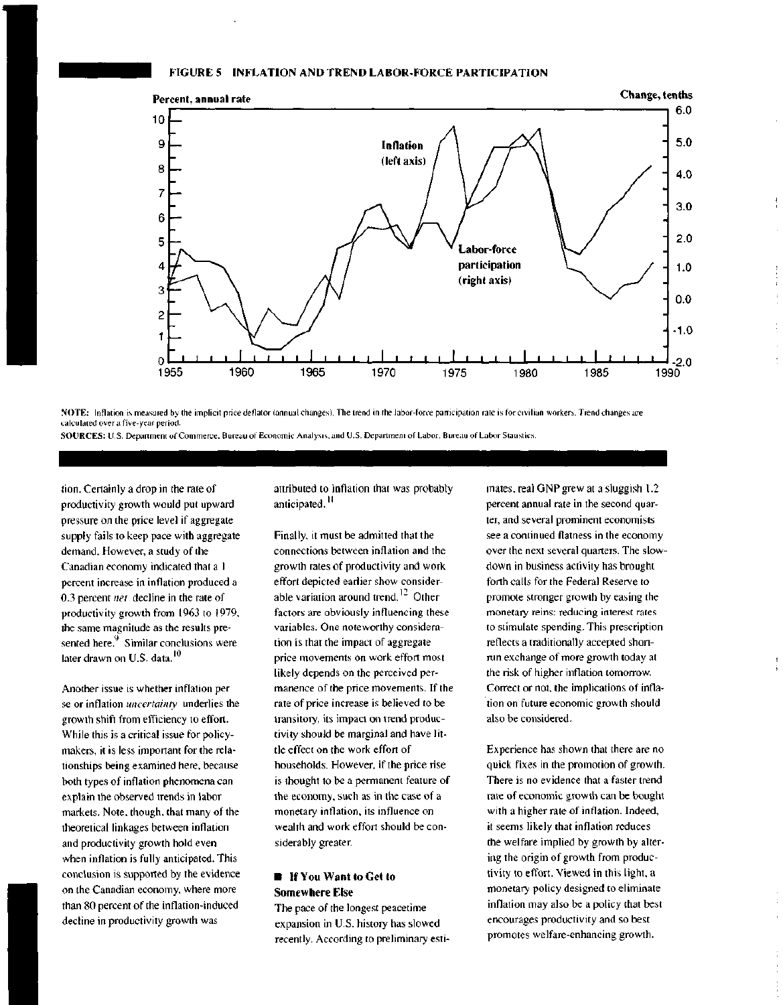# **FIGURE 5 INFLATION AND TREND LABOR-FORCE PARTICIPATION**



NOTE: Inflation is measured by the implicit price deflator (annual changes). The trend in the labor-force participation rate is for civilian workers. Trend changes are calculated over a five-year period.

SOURCES: U.S. Department of Commerce. Bureau of Economic Analysis, and U.S. Department of Labor, Bureau of Labor Statistics.

tion. Certainly a drop in the rate of productivity growth would put upward pressure on the price level if aggregate supply fails to keep pace with aggregate demand. However, a study of the Canadian economy indicated that a 1 percent increase in inflation produced a 0.3 percent *net* decline in the rate of productivity growth from 1963 to 1979, the same magnitude as the results presented here.<sup>9</sup> Similar conclusions were later drawn on U.S. data. **10**

Another issue is whether inflation per se or inflation *uncertainty* underlies the growth shift from efficiency to effort. While this is a critical issue for policymakers, it is less important for the relationships being examined here, because both types of inflation phenomena can explain the observed trends in labor markets. Note, though, that many of the theoretical linkages between inflation and productivity growth hold even when inflation is fully anticipated. This conclusion is supported by the evidence on the Canadian economy, where more than 80 percent of the inflation-induced decline in productivity growth was

attributed to inflation that was probably anticipated.<sup>11</sup>

Finally, it must be admitted that the connections between inflation and the growth rates of productivity and work effort depicted earlier show considerable variation around trend.<sup>12</sup> Other factors are obviously influencing these variables. One noteworthy consideration is that the impact of aggregate price movements on work effort most likely depends on the perceived permanence of the price movements. If the rate of price increase is believed to be transitory, its impact on trend productivity should be marginal and have little effect on the work effort of households. However, if the price rise is thought to be a permanent feature of the economy, such as in the case of a monetary inflation, its influence on wealth and work effort should be considerably greater.

#### **• If You Want to Get to Somewhere Else**

The pace of the longest peacetime expansion in U.S. history has slowed recently. According to preliminary estimates, real GNP grew at a sluggish 1.2 percent annual rate in the second quarter, and several prominent economists see a continued flatness in the economy over the next several quarters. The slowdown in business activity has brought forth calls for the Federal Reserve to promote stronger growth by easing the monetary reins: reducing interest rates to stimulate spending. This prescription reflects a traditionally accepted shortrun exchange of more growth today at the risk of higher inflation tomorrow. Correct or not, the implications of inflation on future economic growth should also be considered.

Experience has shown that there are no quick fixes in the promotion of growth. There is no evidence that a faster trend rate of economic growth can be bought with a higher rate of inflation. Indeed, it seems likely that inflation reduces the welfare implied by growth by altering the origin of growth from productivity to effort. Viewed in this light, a monetary policy designed to eliminate inflation may also be a policy that best encourages productivity and so best promotes welfare-enhancing growth.